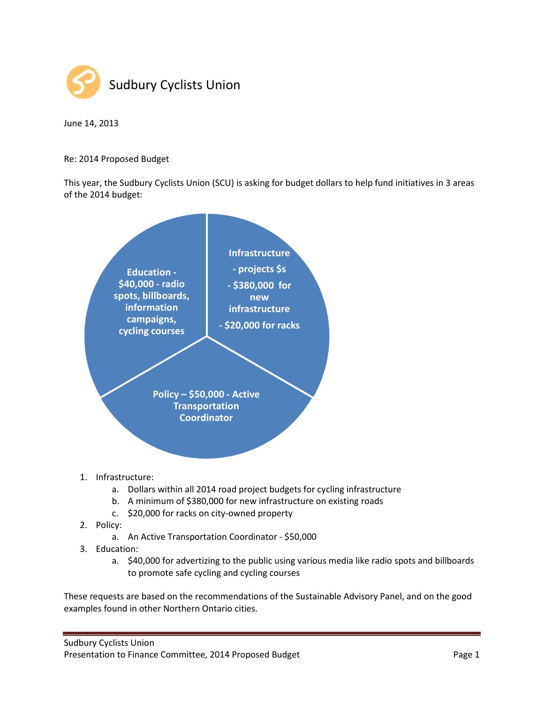

June 14, 2013

Re: 2014 Proposed Budget

This year, the Sudbury Cyclists Union (SCU) is asking for budget dollars to help fund initiatives in 3 areas of the 2014 budget:



- b. A minimum of \$380,000 for new infrastructure on existing roads
- c. \$20,000 for racks on city-owned property
- 2. Policy:
	- a. An Active Transportation Coordinator \$50,000
- 3. Education:
	- a. \$40,000 for advertizing to the public using various media like radio spots and billboards to promote safe cycling and cycling courses

These requests are based on the recommendations of the Sustainable Advisory Panel, and on the good examples found in other Northern Ontario cities.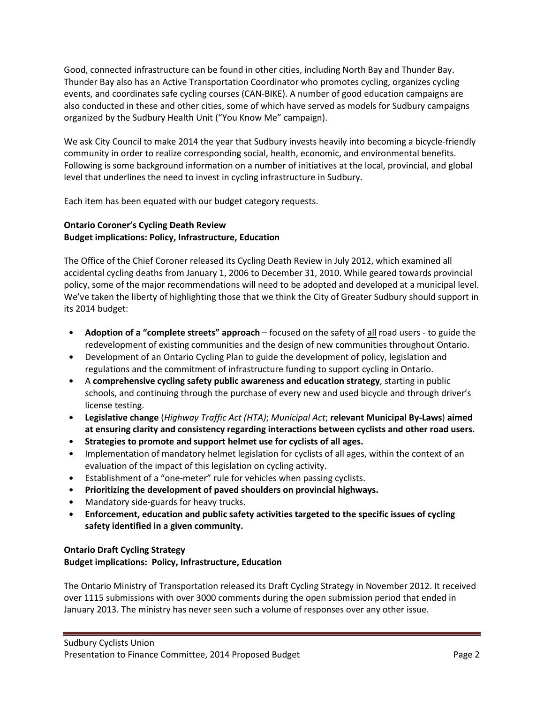Good, connected infrastructure can be found in other cities, including North Bay and Thunder Bay. Thunder Bay also has an Active Transportation Coordinator who promotes cycling, organizes cycling events, and coordinates safe cycling courses (CAN-BIKE). A number of good education campaigns are also conducted in these and other cities, some of which have served as models for Sudbury campaigns organized by the Sudbury Health Unit ("You Know Me" campaign).

We ask City Council to make 2014 the year that Sudbury invests heavily into becoming a bicycle-friendly community in order to realize corresponding social, health, economic, and environmental benefits. Following is some background information on a number of initiatives at the local, provincial, and global level that underlines the need to invest in cycling infrastructure in Sudbury.

Each item has been equated with our budget category requests.

#### Ontario Coroner's Cycling Death Review Budget implications: Policy, Infrastructure, Education

The Office of the Chief Coroner released its Cycling Death Review in July 2012, which examined all accidental cycling deaths from January 1, 2006 to December 31, 2010. While geared towards provincial policy, some of the major recommendations will need to be adopted and developed at a municipal level. We've taken the liberty of highlighting those that we think the City of Greater Sudbury should support in its 2014 budget:

- Adoption of a "complete streets" approach focused on the safety of all road users to guide the redevelopment of existing communities and the design of new communities throughout Ontario.
- Development of an Ontario Cycling Plan to guide the development of policy, legislation and regulations and the commitment of infrastructure funding to support cycling in Ontario.
- A comprehensive cycling safety public awareness and education strategy, starting in public schools, and continuing through the purchase of every new and used bicycle and through driver's license testing.
- Legislative change (Highway Traffic Act (HTA); Municipal Act; relevant Municipal By-Laws) aimed at ensuring clarity and consistency regarding interactions between cyclists and other road users.
- Strategies to promote and support helmet use for cyclists of all ages.
- Implementation of mandatory helmet legislation for cyclists of all ages, within the context of an evaluation of the impact of this legislation on cycling activity.
- Establishment of a "one-meter" rule for vehicles when passing cyclists.
- Prioritizing the development of paved shoulders on provincial highways.
- Mandatory side-guards for heavy trucks.
- Enforcement, education and public safety activities targeted to the specific issues of cycling safety identified in a given community.

# Ontario Draft Cycling Strategy Budget implications: Policy, Infrastructure, Education

The Ontario Ministry of Transportation released its Draft Cycling Strategy in November 2012. It received over 1115 submissions with over 3000 comments during the open submission period that ended in January 2013. The ministry has never seen such a volume of responses over any other issue.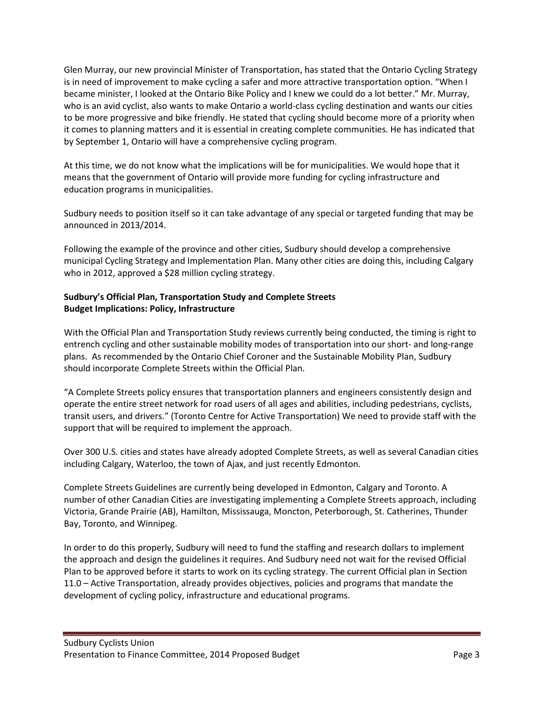Glen Murray, our new provincial Minister of Transportation, has stated that the Ontario Cycling Strategy is in need of improvement to make cycling a safer and more attractive transportation option. "When I became minister, I looked at the Ontario Bike Policy and I knew we could do a lot better." Mr. Murray, who is an avid cyclist, also wants to make Ontario a world-class cycling destination and wants our cities to be more progressive and bike friendly. He stated that cycling should become more of a priority when it comes to planning matters and it is essential in creating complete communities. He has indicated that by September 1, Ontario will have a comprehensive cycling program.

At this time, we do not know what the implications will be for municipalities. We would hope that it means that the government of Ontario will provide more funding for cycling infrastructure and education programs in municipalities.

Sudbury needs to position itself so it can take advantage of any special or targeted funding that may be announced in 2013/2014.

Following the example of the province and other cities, Sudbury should develop a comprehensive municipal Cycling Strategy and Implementation Plan. Many other cities are doing this, including Calgary who in 2012, approved a \$28 million cycling strategy.

## Sudbury's Official Plan, Transportation Study and Complete Streets Budget Implications: Policy, Infrastructure

With the Official Plan and Transportation Study reviews currently being conducted, the timing is right to entrench cycling and other sustainable mobility modes of transportation into our short- and long-range plans. As recommended by the Ontario Chief Coroner and the Sustainable Mobility Plan, Sudbury should incorporate Complete Streets within the Official Plan.

"A Complete Streets policy ensures that transportation planners and engineers consistently design and operate the entire street network for road users of all ages and abilities, including pedestrians, cyclists, transit users, and drivers." (Toronto Centre for Active Transportation) We need to provide staff with the support that will be required to implement the approach.

Over 300 U.S. cities and states have already adopted Complete Streets, as well as several Canadian cities including Calgary, Waterloo, the town of Ajax, and just recently Edmonton.

Complete Streets Guidelines are currently being developed in Edmonton, Calgary and Toronto. A number of other Canadian Cities are investigating implementing a Complete Streets approach, including Victoria, Grande Prairie (AB), Hamilton, Mississauga, Moncton, Peterborough, St. Catherines, Thunder Bay, Toronto, and Winnipeg.

In order to do this properly, Sudbury will need to fund the staffing and research dollars to implement the approach and design the guidelines it requires. And Sudbury need not wait for the revised Official Plan to be approved before it starts to work on its cycling strategy. The current Official plan in Section 11.0 – Active Transportation, already provides objectives, policies and programs that mandate the development of cycling policy, infrastructure and educational programs.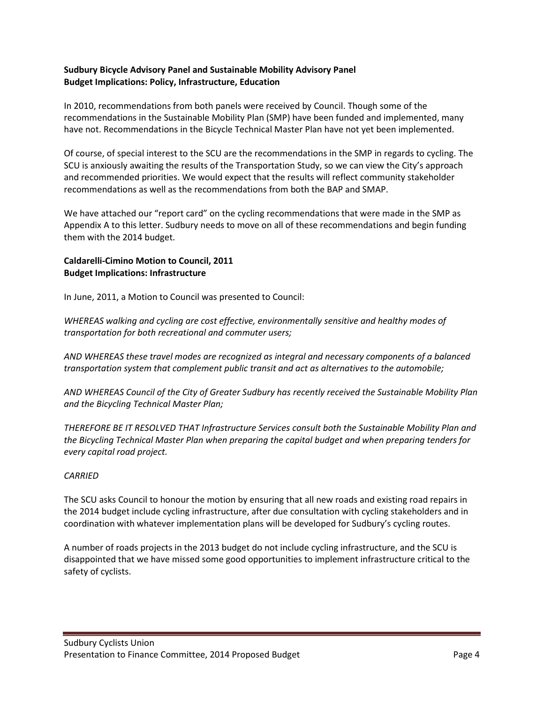#### Sudbury Bicycle Advisory Panel and Sustainable Mobility Advisory Panel Budget Implications: Policy, Infrastructure, Education

In 2010, recommendations from both panels were received by Council. Though some of the recommendations in the Sustainable Mobility Plan (SMP) have been funded and implemented, many have not. Recommendations in the Bicycle Technical Master Plan have not yet been implemented.

Of course, of special interest to the SCU are the recommendations in the SMP in regards to cycling. The SCU is anxiously awaiting the results of the Transportation Study, so we can view the City's approach and recommended priorities. We would expect that the results will reflect community stakeholder recommendations as well as the recommendations from both the BAP and SMAP.

We have attached our "report card" on the cycling recommendations that were made in the SMP as Appendix A to this letter. Sudbury needs to move on all of these recommendations and begin funding them with the 2014 budget.

## Caldarelli-Cimino Motion to Council, 2011 Budget Implications: Infrastructure

In June, 2011, a Motion to Council was presented to Council:

WHEREAS walking and cycling are cost effective, environmentally sensitive and healthy modes of transportation for both recreational and commuter users;

AND WHEREAS these travel modes are recognized as integral and necessary components of a balanced transportation system that complement public transit and act as alternatives to the automobile;

AND WHEREAS Council of the City of Greater Sudbury has recently received the Sustainable Mobility Plan and the Bicycling Technical Master Plan;

THEREFORE BE IT RESOLVED THAT Infrastructure Services consult both the Sustainable Mobility Plan and the Bicycling Technical Master Plan when preparing the capital budget and when preparing tenders for every capital road project.

## CARRIED

The SCU asks Council to honour the motion by ensuring that all new roads and existing road repairs in the 2014 budget include cycling infrastructure, after due consultation with cycling stakeholders and in coordination with whatever implementation plans will be developed for Sudbury's cycling routes.

A number of roads projects in the 2013 budget do not include cycling infrastructure, and the SCU is disappointed that we have missed some good opportunities to implement infrastructure critical to the safety of cyclists.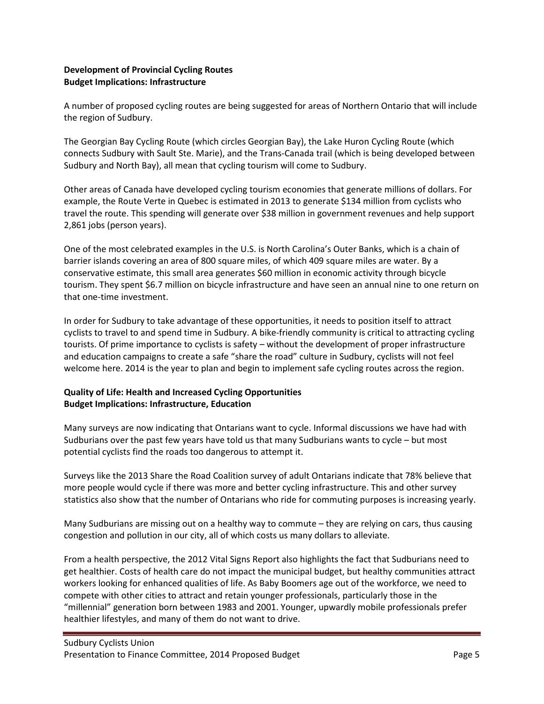#### Development of Provincial Cycling Routes Budget Implications: Infrastructure

A number of proposed cycling routes are being suggested for areas of Northern Ontario that will include the region of Sudbury.

The Georgian Bay Cycling Route (which circles Georgian Bay), the Lake Huron Cycling Route (which connects Sudbury with Sault Ste. Marie), and the Trans-Canada trail (which is being developed between Sudbury and North Bay), all mean that cycling tourism will come to Sudbury.

Other areas of Canada have developed cycling tourism economies that generate millions of dollars. For example, the Route Verte in Quebec is estimated in 2013 to generate \$134 million from cyclists who travel the route. This spending will generate over \$38 million in government revenues and help support 2,861 jobs (person years).

One of the most celebrated examples in the U.S. is North Carolina's Outer Banks, which is a chain of barrier islands covering an area of 800 square miles, of which 409 square miles are water. By a conservative estimate, this small area generates \$60 million in economic activity through bicycle tourism. They spent \$6.7 million on bicycle infrastructure and have seen an annual nine to one return on that one-time investment.

In order for Sudbury to take advantage of these opportunities, it needs to position itself to attract cyclists to travel to and spend time in Sudbury. A bike-friendly community is critical to attracting cycling tourists. Of prime importance to cyclists is safety – without the development of proper infrastructure and education campaigns to create a safe "share the road" culture in Sudbury, cyclists will not feel welcome here. 2014 is the year to plan and begin to implement safe cycling routes across the region.

# Quality of Life: Health and Increased Cycling Opportunities Budget Implications: Infrastructure, Education

Many surveys are now indicating that Ontarians want to cycle. Informal discussions we have had with Sudburians over the past few years have told us that many Sudburians wants to cycle – but most potential cyclists find the roads too dangerous to attempt it.

Surveys like the 2013 Share the Road Coalition survey of adult Ontarians indicate that 78% believe that more people would cycle if there was more and better cycling infrastructure. This and other survey statistics also show that the number of Ontarians who ride for commuting purposes is increasing yearly.

Many Sudburians are missing out on a healthy way to commute – they are relying on cars, thus causing congestion and pollution in our city, all of which costs us many dollars to alleviate.

From a health perspective, the 2012 Vital Signs Report also highlights the fact that Sudburians need to get healthier. Costs of health care do not impact the municipal budget, but healthy communities attract workers looking for enhanced qualities of life. As Baby Boomers age out of the workforce, we need to compete with other cities to attract and retain younger professionals, particularly those in the "millennial" generation born between 1983 and 2001. Younger, upwardly mobile professionals prefer healthier lifestyles, and many of them do not want to drive.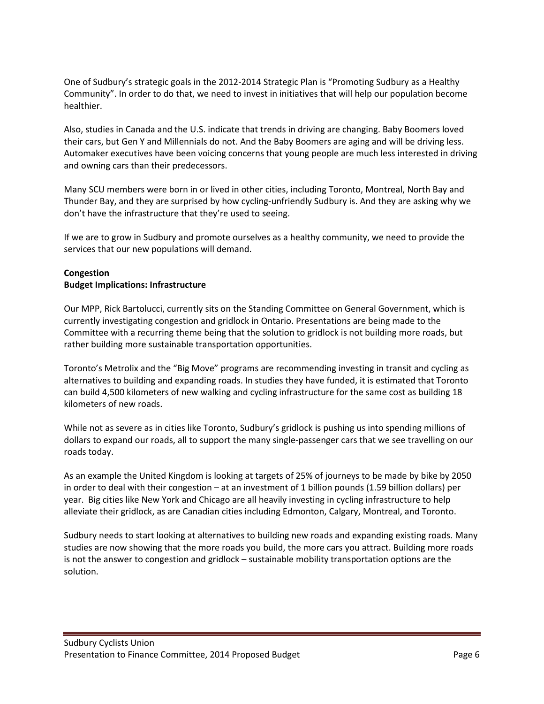One of Sudbury's strategic goals in the 2012-2014 Strategic Plan is "Promoting Sudbury as a Healthy Community". In order to do that, we need to invest in initiatives that will help our population become healthier.

Also, studies in Canada and the U.S. indicate that trends in driving are changing. Baby Boomers loved their cars, but Gen Y and Millennials do not. And the Baby Boomers are aging and will be driving less. Automaker executives have been voicing concerns that young people are much less interested in driving and owning cars than their predecessors.

Many SCU members were born in or lived in other cities, including Toronto, Montreal, North Bay and Thunder Bay, and they are surprised by how cycling-unfriendly Sudbury is. And they are asking why we don't have the infrastructure that they're used to seeing.

If we are to grow in Sudbury and promote ourselves as a healthy community, we need to provide the services that our new populations will demand.

## Congestion Budget Implications: Infrastructure

Our MPP, Rick Bartolucci, currently sits on the Standing Committee on General Government, which is currently investigating congestion and gridlock in Ontario. Presentations are being made to the Committee with a recurring theme being that the solution to gridlock is not building more roads, but rather building more sustainable transportation opportunities.

Toronto's Metrolix and the "Big Move" programs are recommending investing in transit and cycling as alternatives to building and expanding roads. In studies they have funded, it is estimated that Toronto can build 4,500 kilometers of new walking and cycling infrastructure for the same cost as building 18 kilometers of new roads.

While not as severe as in cities like Toronto, Sudbury's gridlock is pushing us into spending millions of dollars to expand our roads, all to support the many single-passenger cars that we see travelling on our roads today.

As an example the United Kingdom is looking at targets of 25% of journeys to be made by bike by 2050 in order to deal with their congestion – at an investment of 1 billion pounds (1.59 billion dollars) per year. Big cities like New York and Chicago are all heavily investing in cycling infrastructure to help alleviate their gridlock, as are Canadian cities including Edmonton, Calgary, Montreal, and Toronto.

Sudbury needs to start looking at alternatives to building new roads and expanding existing roads. Many studies are now showing that the more roads you build, the more cars you attract. Building more roads is not the answer to congestion and gridlock – sustainable mobility transportation options are the solution.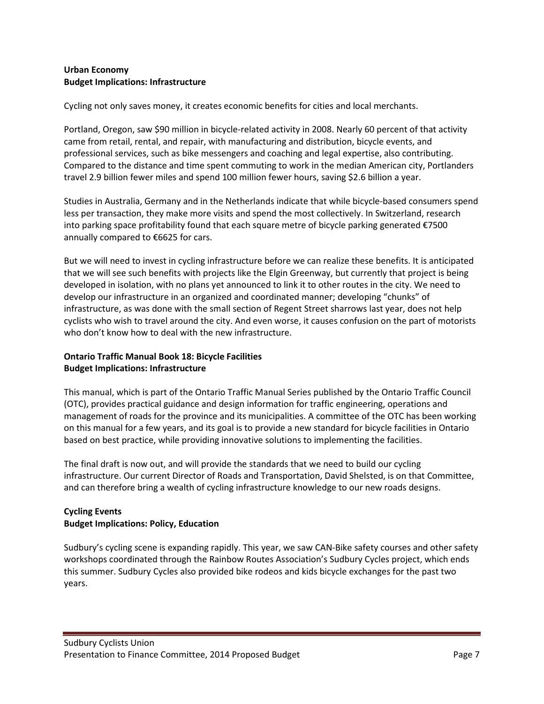#### Urban Economy Budget Implications: Infrastructure

Cycling not only saves money, it creates economic benefits for cities and local merchants.

Portland, Oregon, saw \$90 million in bicycle-related activity in 2008. Nearly 60 percent of that activity came from retail, rental, and repair, with manufacturing and distribution, bicycle events, and professional services, such as bike messengers and coaching and legal expertise, also contributing. Compared to the distance and time spent commuting to work in the median American city, Portlanders travel 2.9 billion fewer miles and spend 100 million fewer hours, saving \$2.6 billion a year.

Studies in Australia, Germany and in the Netherlands indicate that while bicycle-based consumers spend less per transaction, they make more visits and spend the most collectively. In Switzerland, research into parking space profitability found that each square metre of bicycle parking generated €7500 annually compared to €6625 for cars.

But we will need to invest in cycling infrastructure before we can realize these benefits. It is anticipated that we will see such benefits with projects like the Elgin Greenway, but currently that project is being developed in isolation, with no plans yet announced to link it to other routes in the city. We need to develop our infrastructure in an organized and coordinated manner; developing "chunks" of infrastructure, as was done with the small section of Regent Street sharrows last year, does not help cyclists who wish to travel around the city. And even worse, it causes confusion on the part of motorists who don't know how to deal with the new infrastructure.

## Ontario Traffic Manual Book 18: Bicycle Facilities Budget Implications: Infrastructure

This manual, which is part of the Ontario Traffic Manual Series published by the Ontario Traffic Council (OTC), provides practical guidance and design information for traffic engineering, operations and management of roads for the province and its municipalities. A committee of the OTC has been working on this manual for a few years, and its goal is to provide a new standard for bicycle facilities in Ontario based on best practice, while providing innovative solutions to implementing the facilities.

The final draft is now out, and will provide the standards that we need to build our cycling infrastructure. Our current Director of Roads and Transportation, David Shelsted, is on that Committee, and can therefore bring a wealth of cycling infrastructure knowledge to our new roads designs.

# Cycling Events Budget Implications: Policy, Education

Sudbury's cycling scene is expanding rapidly. This year, we saw CAN-Bike safety courses and other safety workshops coordinated through the Rainbow Routes Association's Sudbury Cycles project, which ends this summer. Sudbury Cycles also provided bike rodeos and kids bicycle exchanges for the past two years.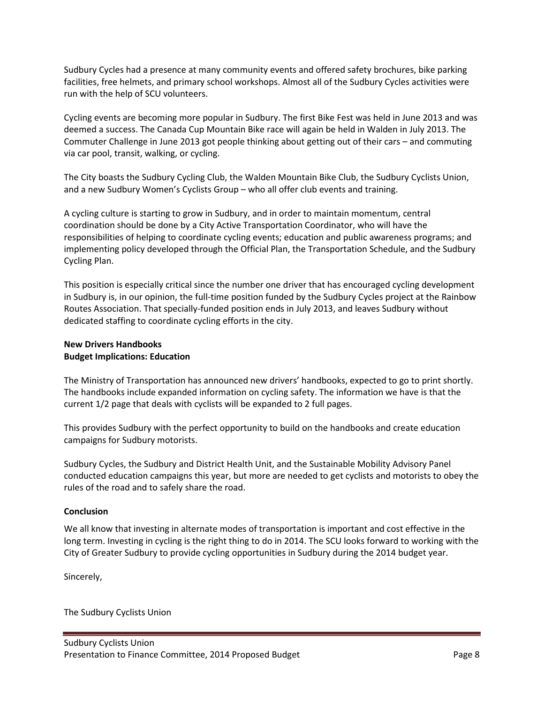Sudbury Cycles had a presence at many community events and offered safety brochures, bike parking facilities, free helmets, and primary school workshops. Almost all of the Sudbury Cycles activities were run with the help of SCU volunteers.

Cycling events are becoming more popular in Sudbury. The first Bike Fest was held in June 2013 and was deemed a success. The Canada Cup Mountain Bike race will again be held in Walden in July 2013. The Commuter Challenge in June 2013 got people thinking about getting out of their cars – and commuting via car pool, transit, walking, or cycling.

The City boasts the Sudbury Cycling Club, the Walden Mountain Bike Club, the Sudbury Cyclists Union, and a new Sudbury Women's Cyclists Group – who all offer club events and training.

A cycling culture is starting to grow in Sudbury, and in order to maintain momentum, central coordination should be done by a City Active Transportation Coordinator, who will have the responsibilities of helping to coordinate cycling events; education and public awareness programs; and implementing policy developed through the Official Plan, the Transportation Schedule, and the Sudbury Cycling Plan.

This position is especially critical since the number one driver that has encouraged cycling development in Sudbury is, in our opinion, the full-time position funded by the Sudbury Cycles project at the Rainbow Routes Association. That specially-funded position ends in July 2013, and leaves Sudbury without dedicated staffing to coordinate cycling efforts in the city.

## New Drivers Handbooks Budget Implications: Education

The Ministry of Transportation has announced new drivers' handbooks, expected to go to print shortly. The handbooks include expanded information on cycling safety. The information we have is that the current 1/2 page that deals with cyclists will be expanded to 2 full pages.

This provides Sudbury with the perfect opportunity to build on the handbooks and create education campaigns for Sudbury motorists.

Sudbury Cycles, the Sudbury and District Health Unit, and the Sustainable Mobility Advisory Panel conducted education campaigns this year, but more are needed to get cyclists and motorists to obey the rules of the road and to safely share the road.

## Conclusion

We all know that investing in alternate modes of transportation is important and cost effective in the long term. Investing in cycling is the right thing to do in 2014. The SCU looks forward to working with the City of Greater Sudbury to provide cycling opportunities in Sudbury during the 2014 budget year.

Sincerely,

The Sudbury Cyclists Union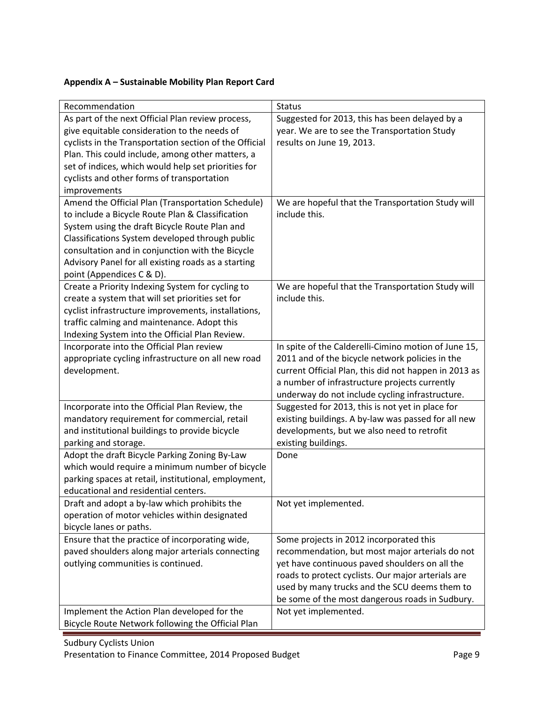# Appendix A – Sustainable Mobility Plan Report Card

| Recommendation                                         | <b>Status</b>                                         |
|--------------------------------------------------------|-------------------------------------------------------|
| As part of the next Official Plan review process,      | Suggested for 2013, this has been delayed by a        |
| give equitable consideration to the needs of           | year. We are to see the Transportation Study          |
| cyclists in the Transportation section of the Official | results on June 19, 2013.                             |
| Plan. This could include, among other matters, a       |                                                       |
| set of indices, which would help set priorities for    |                                                       |
| cyclists and other forms of transportation             |                                                       |
| improvements                                           |                                                       |
| Amend the Official Plan (Transportation Schedule)      | We are hopeful that the Transportation Study will     |
| to include a Bicycle Route Plan & Classification       | include this.                                         |
| System using the draft Bicycle Route Plan and          |                                                       |
| Classifications System developed through public        |                                                       |
| consultation and in conjunction with the Bicycle       |                                                       |
| Advisory Panel for all existing roads as a starting    |                                                       |
| point (Appendices C & D).                              |                                                       |
| Create a Priority Indexing System for cycling to       | We are hopeful that the Transportation Study will     |
| create a system that will set priorities set for       | include this.                                         |
| cyclist infrastructure improvements, installations,    |                                                       |
| traffic calming and maintenance. Adopt this            |                                                       |
| Indexing System into the Official Plan Review.         |                                                       |
| Incorporate into the Official Plan review              | In spite of the Calderelli-Cimino motion of June 15,  |
| appropriate cycling infrastructure on all new road     | 2011 and of the bicycle network policies in the       |
| development.                                           | current Official Plan, this did not happen in 2013 as |
|                                                        | a number of infrastructure projects currently         |
|                                                        | underway do not include cycling infrastructure.       |
| Incorporate into the Official Plan Review, the         | Suggested for 2013, this is not yet in place for      |
| mandatory requirement for commercial, retail           | existing buildings. A by-law was passed for all new   |
| and institutional buildings to provide bicycle         | developments, but we also need to retrofit            |
| parking and storage.                                   | existing buildings.                                   |
| Adopt the draft Bicycle Parking Zoning By-Law          | Done                                                  |
| which would require a minimum number of bicycle        |                                                       |
| parking spaces at retail, institutional, employment,   |                                                       |
| educational and residential centers.                   |                                                       |
| Draft and adopt a by-law which prohibits the           | Not yet implemented.                                  |
| operation of motor vehicles within designated          |                                                       |
| bicycle lanes or paths.                                |                                                       |
| Ensure that the practice of incorporating wide,        | Some projects in 2012 incorporated this               |
| paved shoulders along major arterials connecting       | recommendation, but most major arterials do not       |
| outlying communities is continued.                     | yet have continuous paved shoulders on all the        |
|                                                        | roads to protect cyclists. Our major arterials are    |
|                                                        | used by many trucks and the SCU deems them to         |
|                                                        | be some of the most dangerous roads in Sudbury.       |
| Implement the Action Plan developed for the            | Not yet implemented.                                  |
| Bicycle Route Network following the Official Plan      |                                                       |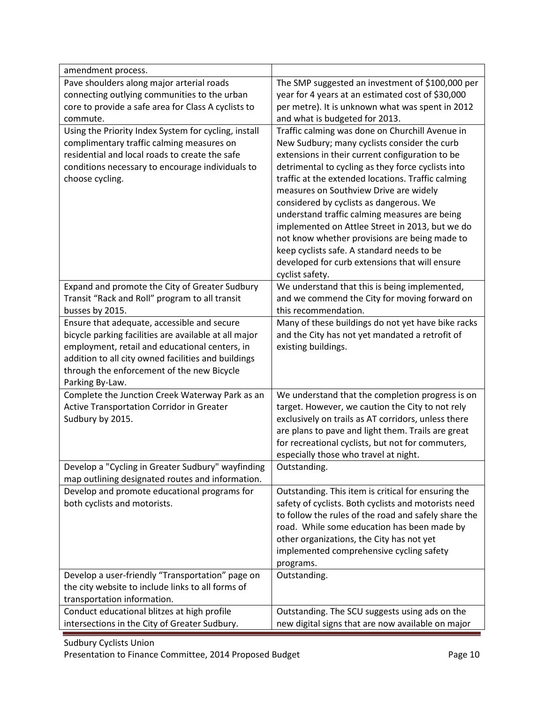| amendment process.                                    |                                                      |
|-------------------------------------------------------|------------------------------------------------------|
| Pave shoulders along major arterial roads             | The SMP suggested an investment of \$100,000 per     |
| connecting outlying communities to the urban          | year for 4 years at an estimated cost of \$30,000    |
| core to provide a safe area for Class A cyclists to   | per metre). It is unknown what was spent in 2012     |
| commute.                                              | and what is budgeted for 2013.                       |
| Using the Priority Index System for cycling, install  | Traffic calming was done on Churchill Avenue in      |
| complimentary traffic calming measures on             | New Sudbury; many cyclists consider the curb         |
| residential and local roads to create the safe        | extensions in their current configuration to be      |
| conditions necessary to encourage individuals to      | detrimental to cycling as they force cyclists into   |
| choose cycling.                                       | traffic at the extended locations. Traffic calming   |
|                                                       | measures on Southview Drive are widely               |
|                                                       | considered by cyclists as dangerous. We              |
|                                                       | understand traffic calming measures are being        |
|                                                       | implemented on Attlee Street in 2013, but we do      |
|                                                       | not know whether provisions are being made to        |
|                                                       | keep cyclists safe. A standard needs to be           |
|                                                       | developed for curb extensions that will ensure       |
|                                                       | cyclist safety.                                      |
| Expand and promote the City of Greater Sudbury        | We understand that this is being implemented,        |
| Transit "Rack and Roll" program to all transit        | and we commend the City for moving forward on        |
| busses by 2015.                                       | this recommendation.                                 |
| Ensure that adequate, accessible and secure           | Many of these buildings do not yet have bike racks   |
| bicycle parking facilities are available at all major | and the City has not yet mandated a retrofit of      |
| employment, retail and educational centers, in        | existing buildings.                                  |
| addition to all city owned facilities and buildings   |                                                      |
| through the enforcement of the new Bicycle            |                                                      |
| Parking By-Law.                                       |                                                      |
| Complete the Junction Creek Waterway Park as an       | We understand that the completion progress is on     |
| Active Transportation Corridor in Greater             | target. However, we caution the City to not rely     |
| Sudbury by 2015.                                      | exclusively on trails as AT corridors, unless there  |
|                                                       | are plans to pave and light them. Trails are great   |
|                                                       | for recreational cyclists, but not for commuters,    |
|                                                       | especially those who travel at night.                |
| Develop a "Cycling in Greater Sudbury" wayfinding     | Outstanding.                                         |
| map outlining designated routes and information.      |                                                      |
| Develop and promote educational programs for          | Outstanding. This item is critical for ensuring the  |
| both cyclists and motorists.                          | safety of cyclists. Both cyclists and motorists need |
|                                                       | to follow the rules of the road and safely share the |
|                                                       | road. While some education has been made by          |
|                                                       | other organizations, the City has not yet            |
|                                                       | implemented comprehensive cycling safety             |
|                                                       | programs.                                            |
| Develop a user-friendly "Transportation" page on      | Outstanding.                                         |
| the city website to include links to all forms of     |                                                      |
| transportation information.                           |                                                      |
| Conduct educational blitzes at high profile           | Outstanding. The SCU suggests using ads on the       |
| intersections in the City of Greater Sudbury.         | new digital signs that are now available on major    |